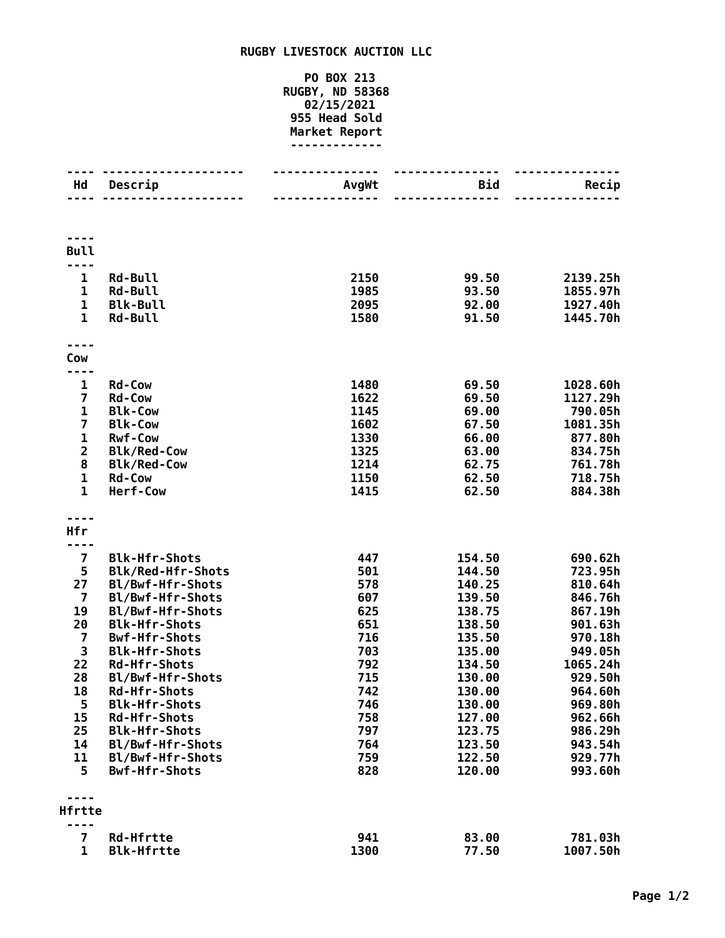## **RUGBY LIVESTOCK AUCTION LLC**

## **PO BOX 213 RUGBY, ND 58368 02/15/2021 955 Head Sold Market Report -------------**

| Hd                           | Descrip                                  | AvgWt        | Bid              | Recip                |
|------------------------------|------------------------------------------|--------------|------------------|----------------------|
|                              |                                          |              |                  |                      |
| <b>Bull</b>                  |                                          |              |                  |                      |
| ----                         |                                          |              |                  |                      |
| 1                            | <b>Rd-Bull</b>                           | 2150         | 99.50            | 2139.25h             |
| $\mathbf 1$                  | <b>Rd-Bull</b>                           | 1985         | 93.50            | 1855.97h             |
| $\mathbf{1}$<br>$\mathbf{1}$ | <b>Blk-Bull</b>                          | 2095         | 92.00<br>91.50   | 1927.40h             |
|                              | <b>Rd-Bull</b>                           | 1580         |                  | 1445.70h             |
| Cow                          |                                          |              |                  |                      |
| ----                         |                                          |              |                  |                      |
| 1<br>$\overline{\mathbf{z}}$ | <b>Rd-Cow</b><br><b>Rd-Cow</b>           | 1480<br>1622 | 69.50<br>69.50   | 1028.60h<br>1127.29h |
| $\mathbf{1}$                 | <b>Blk-Cow</b>                           | 1145         | 69.00            | 790.05h              |
| 7                            | <b>Blk-Cow</b>                           | 1602         | 67.50            | 1081.35h             |
| $\mathbf 1$                  | <b>Rwf-Cow</b>                           | 1330         | 66.00            | 877.80h              |
| $\overline{2}$               | <b>Blk/Red-Cow</b>                       | 1325         | 63.00            | 834.75h              |
| 8                            | <b>Blk/Red-Cow</b>                       | 1214         | 62.75            | 761.78h              |
| $\mathbf{1}$                 | <b>Rd-Cow</b>                            | 1150         | 62.50            | 718.75h              |
| $\mathbf{1}$                 | Herf-Cow                                 | 1415         | 62.50            | 884.38h              |
|                              |                                          |              |                  |                      |
| <b>Hfr</b><br>---            |                                          |              |                  |                      |
| $\overline{\mathbf{z}}$      | <b>Blk-Hfr-Shots</b>                     | 447          | 154.50           | 690.62h              |
| 5                            | <b>Blk/Red-Hfr-Shots</b>                 | 501          | 144.50           | 723.95h              |
| 27                           | Bl/Bwf-Hfr-Shots                         | 578          | 140.25           | 810.64h              |
| $\overline{7}$               | Bl/Bwf-Hfr-Shots                         | 607          | 139.50           | 846.76h              |
| 19                           | Bl/Bwf-Hfr-Shots                         | 625          | 138.75           | 867.19h              |
| 20                           | <b>Blk-Hfr-Shots</b>                     | 651          | 138.50           | 901.63h              |
| $\overline{\mathbf{z}}$      | <b>Bwf-Hfr-Shots</b>                     | 716          | 135.50           | 970.18h              |
| 3                            | <b>Blk-Hfr-Shots</b>                     | 703          | 135.00           | 949.05h              |
| 22                           | <b>Rd-Hfr-Shots</b>                      | 792          | 134.50           | 1065.24h             |
| 28                           | Bl/Bwf-Hfr-Shots                         | 715          | 130.00           | 929.50h              |
| 18                           | <b>Rd-Hfr-Shots</b>                      | 742          | 130.00           | 964.60h              |
| 5                            | <b>Blk-Hfr-Shots</b>                     | 746          | 130.00           | 969.80h              |
| 15<br>25                     | <b>Rd-Hfr-Shots</b>                      | 758          | 127.00           | 962.66h              |
| 14                           | <b>Blk-Hfr-Shots</b><br>Bl/Bwf-Hfr-Shots | 797<br>764   | 123.75<br>123.50 | 986.29h<br>943.54h   |
| 11                           | Bl/Bwf-Hfr-Shots                         | 759          | 122.50           | 929.77h              |
| 5                            | <b>Bwf-Hfr-Shots</b>                     | 828          | 120.00           | 993.60h              |
|                              |                                          |              |                  |                      |
| Hfrtte                       |                                          |              |                  |                      |
| 7                            | <b>Rd-Hfrtte</b>                         | 941          | 83.00            | 781.03h              |
| $\mathbf{1}$                 | <b>Blk-Hfrtte</b>                        | 1300         | 77.50            | 1007.50h             |